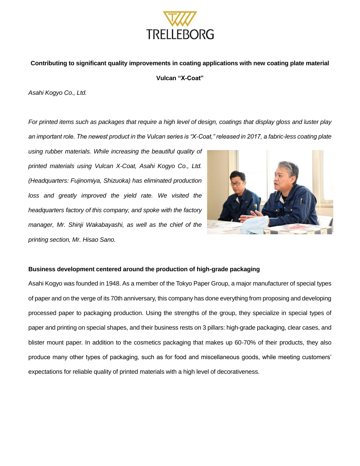

# **Contributing to significant quality improvements in coating applications with new coating plate material**

**Vulcan "X-Coat"**

*Asahi Kogyo Co., Ltd.*

*For printed items such as packages that require a high level of design, coatings that display gloss and luster play an important role. The newest product in the Vulcan series is "X-Coat," released in 2017, a fabric-less coating plate*

*using rubber materials. While increasing the beautiful quality of printed materials using Vulcan X-Coat, Asahi Kogyo Co., Ltd. (Headquarters: Fujinomiya, Shizuoka) has eliminated production loss and greatly improved the yield rate. We visited the headquarters factory of this company, and spoke with the factory manager, Mr. Shinji Wakabayashi, as well as the chief of the printing section, Mr. Hisao Sano.*



## **Business development centered around the production of high-grade packaging**

Asahi Kogyo was founded in 1948. As a member of the Tokyo Paper Group, a major manufacturer of special types of paper and on the verge of its 70th anniversary, this company has done everything from proposing and developing processed paper to packaging production. Using the strengths of the group, they specialize in special types of paper and printing on special shapes, and their business rests on 3 pillars: high-grade packaging, clear cases, and blister mount paper. In addition to the cosmetics packaging that makes up 60-70% of their products, they also produce many other types of packaging, such as for food and miscellaneous goods, while meeting customers' expectations for reliable quality of printed materials with a high level of decorativeness.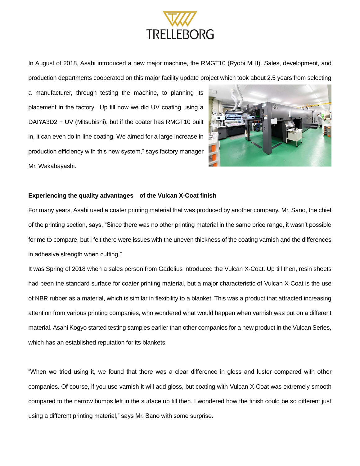

In August of 2018, Asahi introduced a new major machine, the RMGT10 (Ryobi MHI). Sales, development, and production departments cooperated on this major facility update project which took about 2.5 years from selecting

a manufacturer, through testing the machine, to planning its placement in the factory. "Up till now we did UV coating using a DAIYA3D2 + UV (Mitsubishi), but if the coater has RMGT10 built in, it can even do in-line coating. We aimed for a large increase in production efficiency with this new system," says factory manager Mr. Wakabayashi.



#### **Experiencing the quality advantages of the Vulcan X-Coat finish**

For many years, Asahi used a coater printing material that was produced by another company. Mr. Sano, the chief of the printing section, says, "Since there was no other printing material in the same price range, it wasn't possible for me to compare, but I felt there were issues with the uneven thickness of the coating varnish and the differences in adhesive strength when cutting."

It was Spring of 2018 when a sales person from Gadelius introduced the Vulcan X-Coat. Up till then, resin sheets had been the standard surface for coater printing material, but a major characteristic of Vulcan X-Coat is the use of NBR rubber as a material, which is similar in flexibility to a blanket. This was a product that attracted increasing attention from various printing companies, who wondered what would happen when varnish was put on a different material. Asahi Kogyo started testing samples earlier than other companies for a new product in the Vulcan Series, which has an established reputation for its blankets.

"When we tried using it, we found that there was a clear difference in gloss and luster compared with other companies. Of course, if you use varnish it will add gloss, but coating with Vulcan X-Coat was extremely smooth compared to the narrow bumps left in the surface up till then. I wondered how the finish could be so different just using a different printing material," says Mr. Sano with some surprise.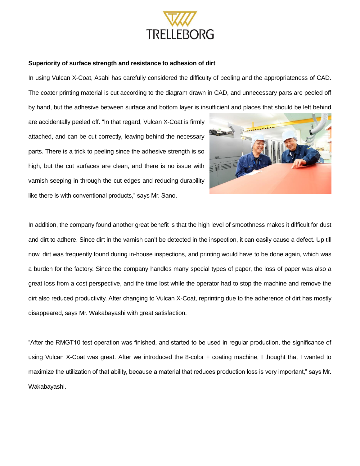

### **Superiority of surface strength and resistance to adhesion of dirt**

In using Vulcan X-Coat, Asahi has carefully considered the difficulty of peeling and the appropriateness of CAD. The coater printing material is cut according to the diagram drawn in CAD, and unnecessary parts are peeled off by hand, but the adhesive between surface and bottom layer is insufficient and places that should be left behind

are accidentally peeled off. "In that regard, Vulcan X-Coat is firmly attached, and can be cut correctly, leaving behind the necessary parts. There is a trick to peeling since the adhesive strength is so high, but the cut surfaces are clean, and there is no issue with varnish seeping in through the cut edges and reducing durability like there is with conventional products," says Mr. Sano.



In addition, the company found another great benefit is that the high level of smoothness makes it difficult for dust and dirt to adhere. Since dirt in the varnish can't be detected in the inspection, it can easily cause a defect. Up till now, dirt was frequently found during in-house inspections, and printing would have to be done again, which was a burden for the factory. Since the company handles many special types of paper, the loss of paper was also a great loss from a cost perspective, and the time lost while the operator had to stop the machine and remove the dirt also reduced productivity. After changing to Vulcan X-Coat, reprinting due to the adherence of dirt has mostly disappeared, says Mr. Wakabayashi with great satisfaction.

"After the RMGT10 test operation was finished, and started to be used in regular production, the significance of using Vulcan X-Coat was great. After we introduced the 8-color + coating machine, I thought that I wanted to maximize the utilization of that ability, because a material that reduces production loss is very important," says Mr. Wakabayashi.